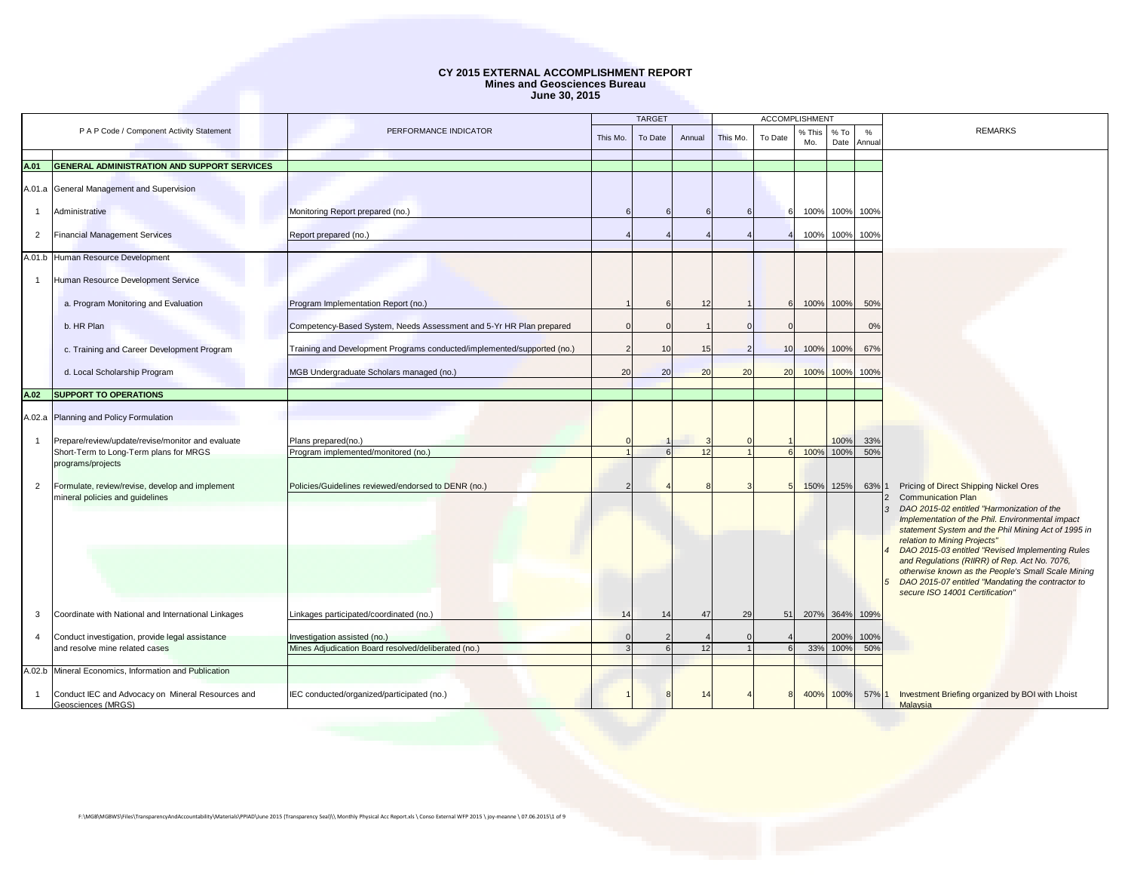|                |                                                                         |                                                                         |          | <b>TARGET</b> |        |          | <b>ACCOMPLISHMENT</b> |               |                |                |                                                                                                     |
|----------------|-------------------------------------------------------------------------|-------------------------------------------------------------------------|----------|---------------|--------|----------|-----------------------|---------------|----------------|----------------|-----------------------------------------------------------------------------------------------------|
|                | P A P Code / Component Activity Statement                               | PERFORMANCE INDICATOR                                                   | This Mo. | To Date       | Annual | This Mo. | To Date               | % This<br>Mo. | $%$ To<br>Date | %<br>Annua     | <b>REMARKS</b>                                                                                      |
|                |                                                                         |                                                                         |          |               |        |          |                       |               |                |                |                                                                                                     |
| A.01           | <b>GENERAL ADMINISTRATION AND SUPPORT SERVICES</b>                      |                                                                         |          |               |        |          |                       |               |                |                |                                                                                                     |
|                | A.01.a General Management and Supervision                               |                                                                         |          |               |        |          |                       |               |                |                |                                                                                                     |
| $\overline{1}$ | Administrative                                                          | Monitoring Report prepared (no.)                                        |          |               |        |          |                       |               |                | 100% 100% 100% |                                                                                                     |
| $\overline{2}$ | <b>Financial Management Services</b>                                    | Report prepared (no.)                                                   |          |               |        |          |                       | 100%          | 100%           | 100%           |                                                                                                     |
|                | A.01.b Human Resource Development                                       |                                                                         |          |               |        |          |                       |               |                |                |                                                                                                     |
| -1             | Human Resource Development Service                                      |                                                                         |          |               |        |          |                       |               |                |                |                                                                                                     |
|                |                                                                         |                                                                         |          |               |        |          |                       |               |                |                |                                                                                                     |
|                | a. Program Monitoring and Evaluation                                    | Program Implementation Report (no.)                                     |          | 6             | 12     |          |                       | 100% 100%     |                | 50%            |                                                                                                     |
|                | b. HR Plan                                                              | Competency-Based System, Needs Assessment and 5-Yr HR Plan prepared     |          |               |        |          |                       |               |                | 0%             |                                                                                                     |
|                | c. Training and Career Development Program                              | Training and Development Programs conducted/implemented/supported (no.) |          | 10            | 15     | 2        | 10 <sup>1</sup>       | 100% 100%     |                | 67%            |                                                                                                     |
|                | d. Local Scholarship Program                                            | MGB Undergraduate Scholars managed (no.)                                | 20       | 20            | 20     | 20       | 20                    | 100%          | 100%           | 100%           |                                                                                                     |
| A.02           | <b>SUPPORT TO OPERATIONS</b>                                            |                                                                         |          |               |        |          |                       |               |                |                |                                                                                                     |
|                |                                                                         |                                                                         |          |               |        |          |                       |               |                |                |                                                                                                     |
| A.02.a         | Planning and Policy Formulation                                         |                                                                         |          |               |        |          |                       |               |                |                |                                                                                                     |
| $\mathbf{1}$   | Prepare/review/update/revise/monitor and evaluate                       | Plans prepared(no.)                                                     |          |               |        |          |                       |               | 100%           | 33%            |                                                                                                     |
|                | Short-Term to Long-Term plans for MRGS                                  | Program implemented/monitored (no.)                                     |          |               | 12     |          |                       | 100%          | 100%           | 50%            |                                                                                                     |
|                | programs/projects                                                       |                                                                         |          |               |        |          |                       |               |                |                |                                                                                                     |
| $\overline{2}$ | Formulate, review/revise, develop and implement                         | Policies/Guidelines reviewed/endorsed to DENR (no.)                     |          |               |        |          |                       | 150% 125%     |                | 63%            | Pricing of Direct Shipping Nickel Ores                                                              |
|                | mineral policies and quidelines                                         |                                                                         |          |               |        |          |                       |               |                | $\mathcal{R}$  | <b>Communication Plan</b><br>DAO 2015-02 entitled "Harmonization of the                             |
|                |                                                                         |                                                                         |          |               |        |          |                       |               |                |                | Implementation of the Phil. Environmental impact                                                    |
|                |                                                                         |                                                                         |          |               |        |          |                       |               |                |                | statement System and the Phil Mining Act of 1995 in<br>relation to Mining Projects"                 |
|                |                                                                         |                                                                         |          |               |        |          |                       |               |                |                | DAO 2015-03 entitled "Revised Implementing Rules                                                    |
|                |                                                                         |                                                                         |          |               |        |          |                       |               |                |                | and Regulations (RIIRR) of Rep. Act No. 7076,<br>otherwise known as the People's Small Scale Mining |
|                |                                                                         |                                                                         |          |               |        |          |                       |               |                |                | DAO 2015-07 entitled "Mandating the contractor to                                                   |
|                |                                                                         |                                                                         |          |               |        |          |                       |               |                |                | secure ISO 14001 Certification"                                                                     |
| 3              | Coordinate with National and International Linkages                     | Linkages participated/coordinated (no.)                                 | 14       | 14            | 47     | 29       | 51                    |               |                | 207% 364% 109% |                                                                                                     |
| $\overline{4}$ | Conduct investigation, provide legal assistance                         | Investigation assisted (no.)                                            |          |               |        |          |                       |               | 200%           | 100%           |                                                                                                     |
|                | and resolve mine related cases                                          | Mines Adjudication Board resolved/deliberated (no.)                     |          |               | 12     |          |                       | 33%           | 100%           | 50%            |                                                                                                     |
|                |                                                                         |                                                                         |          |               |        |          |                       |               |                |                |                                                                                                     |
|                | A.02.b Mineral Economics, Information and Publication                   |                                                                         |          |               |        |          |                       |               |                |                |                                                                                                     |
| $\overline{1}$ | Conduct IEC and Advocacy on Mineral Resources and<br>Geosciences (MRGS) | IEC conducted/organized/participated (no.)                              |          | 8             | 1.     |          |                       | 400% 100%     |                | 57% 1          | Investment Briefing organized by BOI with Lhoist<br>Malavsia                                        |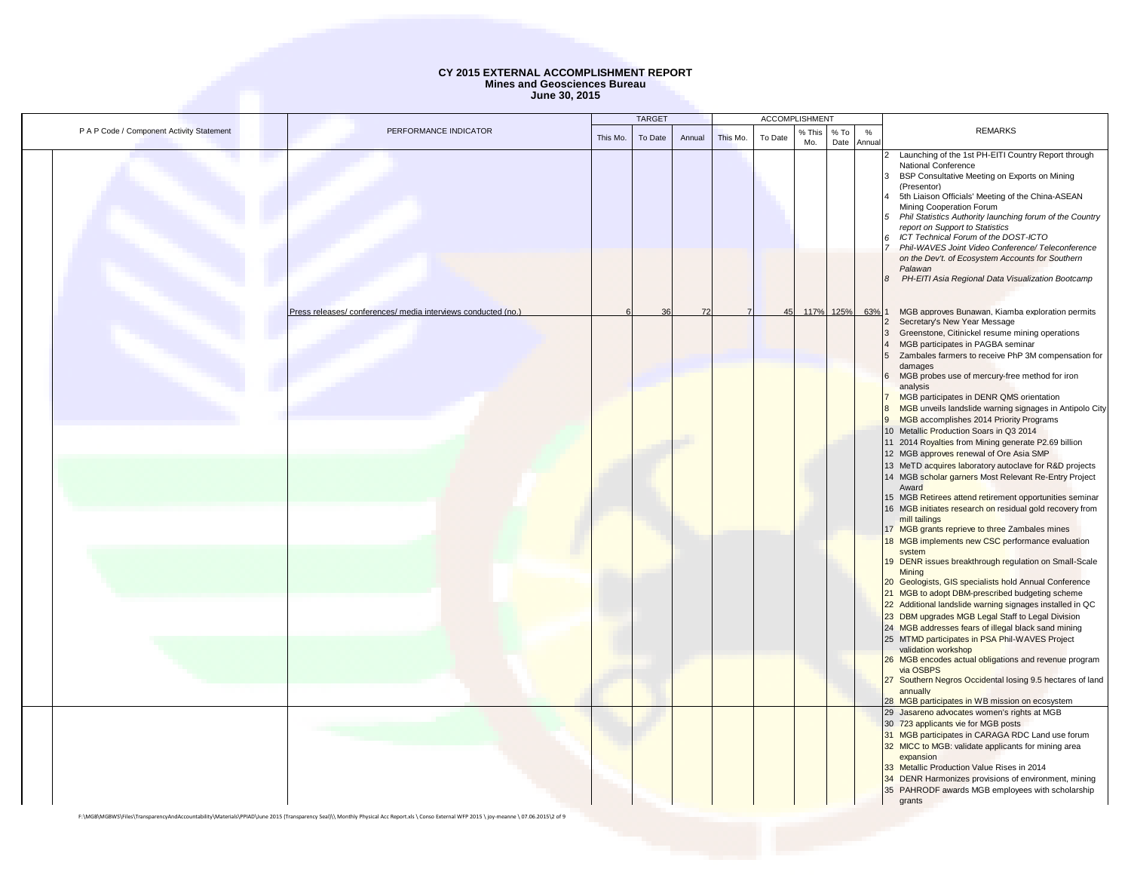|                                           |                                                               |          | <b>TARGET</b> |        |          | ACCOMPLISHMENT |               |                |            |                                                                                                                                                                                                                                                                                                                                                                                                                                                                                                                                                                                                                                                                                                                                                                                                                                                                                                                                                                                                                                                                                                                                                                                                                                                                                                                                                                                                                                                                                                                                                                                |
|-------------------------------------------|---------------------------------------------------------------|----------|---------------|--------|----------|----------------|---------------|----------------|------------|--------------------------------------------------------------------------------------------------------------------------------------------------------------------------------------------------------------------------------------------------------------------------------------------------------------------------------------------------------------------------------------------------------------------------------------------------------------------------------------------------------------------------------------------------------------------------------------------------------------------------------------------------------------------------------------------------------------------------------------------------------------------------------------------------------------------------------------------------------------------------------------------------------------------------------------------------------------------------------------------------------------------------------------------------------------------------------------------------------------------------------------------------------------------------------------------------------------------------------------------------------------------------------------------------------------------------------------------------------------------------------------------------------------------------------------------------------------------------------------------------------------------------------------------------------------------------------|
| P A P Code / Component Activity Statement | PERFORMANCE INDICATOR                                         | This Mo. | To Date       | Annual | This Mo. | To Date        | % This<br>Mo. | $%$ To<br>Date | %<br>Annua | <b>REMARKS</b>                                                                                                                                                                                                                                                                                                                                                                                                                                                                                                                                                                                                                                                                                                                                                                                                                                                                                                                                                                                                                                                                                                                                                                                                                                                                                                                                                                                                                                                                                                                                                                 |
|                                           |                                                               |          |               |        |          |                |               |                |            | 2 Launching of the 1st PH-EITI Country Report through<br>National Conference<br>BSP Consultative Meeting on Exports on Mining<br>(Presentor)<br>5th Liaison Officials' Meeting of the China-ASEAN<br>Mining Cooperation Forum<br>Phil Statistics Authority launching forum of the Country<br>report on Support to Statistics<br>ICT Technical Forum of the DOST-ICTO<br>Phil-WAVES Joint Video Conference/ Teleconference<br>on the Dev't. of Ecosystem Accounts for Southern<br>Palawan<br>PH-EITI Asia Regional Data Visualization Bootcamp                                                                                                                                                                                                                                                                                                                                                                                                                                                                                                                                                                                                                                                                                                                                                                                                                                                                                                                                                                                                                                  |
|                                           | Press releases/ conferences/ media interviews conducted (no.) |          | 36            | 72     |          | 45             |               | 117% 125%      | 63%        | MGB approves Bunawan, Kiamba exploration permits                                                                                                                                                                                                                                                                                                                                                                                                                                                                                                                                                                                                                                                                                                                                                                                                                                                                                                                                                                                                                                                                                                                                                                                                                                                                                                                                                                                                                                                                                                                               |
|                                           |                                                               |          |               |        |          |                |               |                |            | Secretary's New Year Message<br>Greenstone, Citinickel resume mining operations<br>3<br>MGB participates in PAGBA seminar<br>Zambales farmers to receive PhP 3M compensation for<br>damages<br>MGB probes use of mercury-free method for iron<br>analysis<br>MGB participates in DENR QMS orientation<br>MGB unveils landslide warning signages in Antipolo City<br>MGB accomplishes 2014 Priority Programs<br>10 Metallic Production Soars in Q3 2014<br>11 2014 Royalties from Mining generate P2.69 billion<br>12 MGB approves renewal of Ore Asia SMP<br>13 MeTD acquires laboratory autoclave for R&D projects<br>14 MGB scholar garners Most Relevant Re-Entry Project<br>Award<br>15 MGB Retirees attend retirement opportunities seminar<br>16 MGB initiates research on residual gold recovery from<br>mill tailings<br>17 MGB grants reprieve to three Zambales mines<br>18 MGB implements new CSC performance evaluation<br>system<br>19 DENR issues breakthrough regulation on Small-Scale<br>Mining<br>20 Geologists, GIS specialists hold Annual Conference<br>21 MGB to adopt DBM-prescribed budgeting scheme<br>22 Additional landslide warning signages installed in QC<br>23 DBM upgrades MGB Legal Staff to Legal Division<br>24 MGB addresses fears of illegal black sand mining<br>25 MTMD participates in PSA Phil-WAVES Project<br>validation workshop<br>26 MGB encodes actual obligations and revenue program<br>via OSBPS<br>27 Southern Negros Occidental losing 9.5 hectares of land<br>annually<br>28 MGB participates in WB mission on ecosystem |
|                                           |                                                               |          |               |        |          |                |               |                |            | 29 Jasareno advocates women's rights at MGB<br>30 723 applicants vie for MGB posts<br>31 MGB participates in CARAGA RDC Land use forum<br>32 MICC to MGB: validate applicants for mining area<br>expansion<br>33 Metallic Production Value Rises in 2014<br>34 DENR Harmonizes provisions of environment, mining<br>35 PAHRODF awards MGB employees with scholarship<br>grants                                                                                                                                                                                                                                                                                                                                                                                                                                                                                                                                                                                                                                                                                                                                                                                                                                                                                                                                                                                                                                                                                                                                                                                                 |

F:\MGB\MGBWS\Files\TransparencyAndAccountability\Materials\PPIAD\June 2015 (Transparency Seal)\\ Monthly Physical Acc Report.xls \ Conso External WFP 2015 \ joy-meanne \ 07.06.2015\2 of 9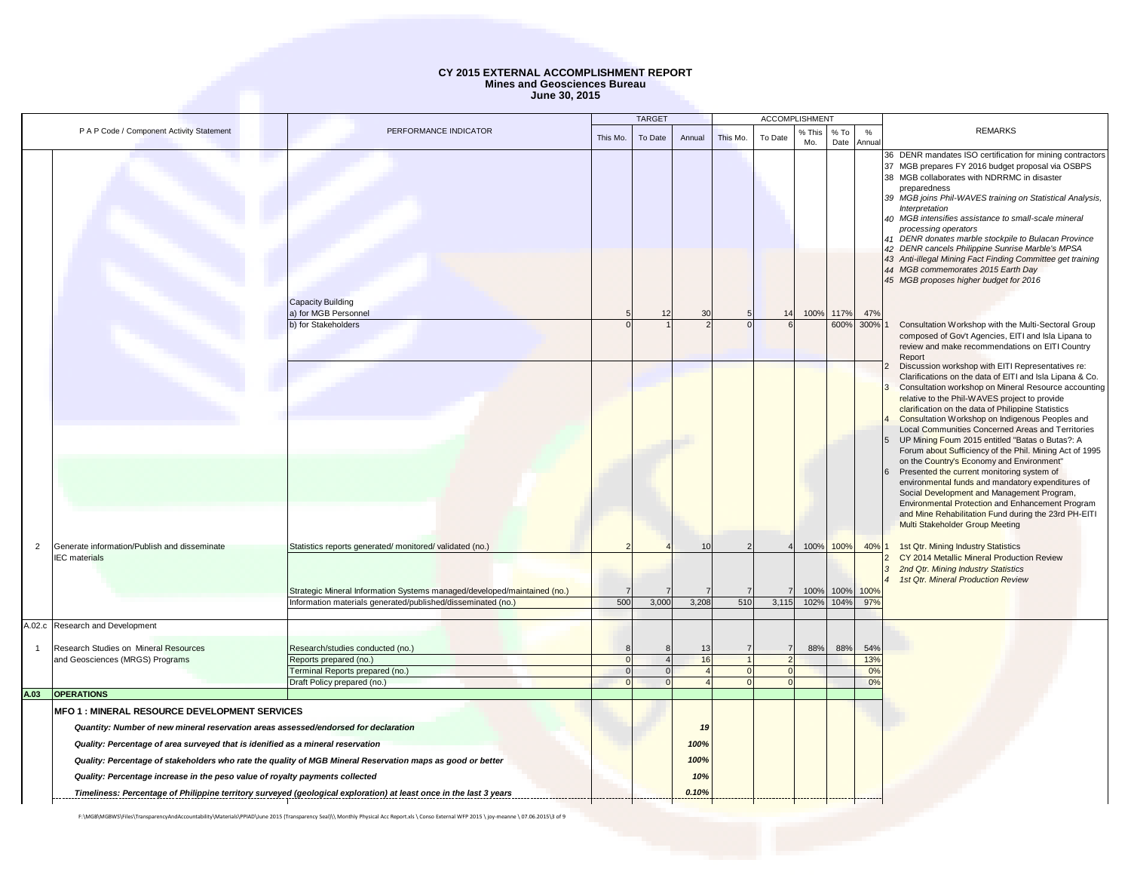|                |                                                                                     |                                                                                                                              |                | <b>TARGET</b> |             |          | <b>ACCOMPLISHMENT</b> |                                                                                                                                                                         |              |                        |                                                                                                                                                                                                                                                                                                                                                                                                                                                          |
|----------------|-------------------------------------------------------------------------------------|------------------------------------------------------------------------------------------------------------------------------|----------------|---------------|-------------|----------|-----------------------|-------------------------------------------------------------------------------------------------------------------------------------------------------------------------|--------------|------------------------|----------------------------------------------------------------------------------------------------------------------------------------------------------------------------------------------------------------------------------------------------------------------------------------------------------------------------------------------------------------------------------------------------------------------------------------------------------|
|                | P A P Code / Component Activity Statement                                           | PERFORMANCE INDICATOR                                                                                                        | This Mo.       | To Date       | Annual      | This Mo. | To Date               | % This<br>Mo.                                                                                                                                                           | % To<br>Date | %<br>Annual            | <b>REMARKS</b>                                                                                                                                                                                                                                                                                                                                                                                                                                           |
|                |                                                                                     |                                                                                                                              |                |               |             |          |                       |                                                                                                                                                                         |              |                        | 36 DENR mandates ISO certification for mining contractors<br>37 MGB prepares FY 2016 budget proposal via OSBPS<br>38 MGB collaborates with NDRRMC in disaster<br>preparedness<br>39 MGB joins Phil-WAVES training on Statistical Analysis,<br>Interpretation<br>40 MGB intensifies assistance to small-scale mineral<br>processing operators<br>41 DENR donates marble stockpile to Bulacan Province<br>42 DENR cancels Philippine Sunrise Marble's MPSA |
|                |                                                                                     | Capacity Building<br>a) for MGB Personnel                                                                                    |                | 12            | 30          |          | 14                    | 100%                                                                                                                                                                    | 117%         | 47%                    | 43 Anti-illegal Mining Fact Finding Committee get training<br>44 MGB commemorates 2015 Earth Day<br>45 MGB proposes higher budget for 2016                                                                                                                                                                                                                                                                                                               |
|                |                                                                                     | b) for Stakeholders                                                                                                          |                |               |             | 600%     | 300%                  | Consultation Workshop with the Multi-Sectoral Group<br>composed of Gov't Agencies, EITI and Isla Lipana to<br>review and make recommendations on EITI Country<br>Report |              |                        |                                                                                                                                                                                                                                                                                                                                                                                                                                                          |
|                |                                                                                     |                                                                                                                              |                |               |             |          |                       |                                                                                                                                                                         |              |                        | Discussion workshop with EITI Representatives re:<br>Clarifications on the data of EITI and Isla Lipana & Co.<br>Consultation workshop on Mineral Resource accounting<br>relative to the Phil-WAVES project to provide<br>clarification on the data of Philippine Statistics<br>Consultation Workshop on Indigenous Peoples and<br>Local Communities Concerned Areas and Territories                                                                     |
|                |                                                                                     |                                                                                                                              |                |               |             |          |                       |                                                                                                                                                                         |              |                        | UP Mining Foum 2015 entitled "Batas o Butas?: A<br>Forum about Sufficiency of the Phil. Mining Act of 1995<br>on the Country's Economy and Environment"<br>Presented the current monitoring system of<br>environmental funds and mandatory expenditures of<br>Social Development and Management Program,<br>Environmental Protection and Enhancement Program                                                                                             |
| 2              | Generate information/Publish and disseminate                                        | Statistics reports generated/monitored/validated (no.)                                                                       |                |               | 10          |          |                       |                                                                                                                                                                         | 100% 100%    | 40% 1                  | and Mine Rehabilitation Fund during the 23rd PH-EITI<br><b>Multi Stakeholder Group Meeting</b><br>1st Qtr. Mining Industry Statistics                                                                                                                                                                                                                                                                                                                    |
|                | <b>IEC</b> materials                                                                | Strategic Mineral Information Systems managed/developed/maintained (no.)                                                     | $\overline{7}$ |               |             |          |                       | 100%                                                                                                                                                                    | 100%         | 100%                   | CY 2014 Metallic Mineral Production Review<br>2nd Qtr. Mining Industry Statistics<br>1st Qtr. Mineral Production Review                                                                                                                                                                                                                                                                                                                                  |
|                |                                                                                     | Information materials generated/published/disseminated (no.)                                                                 | 500            | 3,000         | 3,208       | 510      | 3,115                 | 102%                                                                                                                                                                    | 104%         | 97%                    |                                                                                                                                                                                                                                                                                                                                                                                                                                                          |
|                | A.02.c Research and Development                                                     |                                                                                                                              |                |               |             |          |                       |                                                                                                                                                                         |              |                        |                                                                                                                                                                                                                                                                                                                                                                                                                                                          |
| $\overline{1}$ | Research Studies on Mineral Resources<br>and Geosciences (MRGS) Programs            | Research/studies conducted (no.)<br>Reports prepared (no.)<br>Terminal Reports prepared (no.)<br>Draft Policy prepared (no.) |                |               | 13<br>16    |          |                       | 88%                                                                                                                                                                     | 88%          | 54%<br>13%<br>0%<br>0% |                                                                                                                                                                                                                                                                                                                                                                                                                                                          |
| A.03           | <b>OPERATIONS</b>                                                                   |                                                                                                                              |                |               |             |          |                       |                                                                                                                                                                         |              |                        |                                                                                                                                                                                                                                                                                                                                                                                                                                                          |
|                | <b>MFO 1 : MINERAL RESOURCE DEVELOPMENT SERVICES</b>                                |                                                                                                                              |                |               |             |          |                       |                                                                                                                                                                         |              |                        |                                                                                                                                                                                                                                                                                                                                                                                                                                                          |
|                | Quantity: Number of new mineral reservation areas assessed/endorsed for declaration |                                                                                                                              |                |               | 19          |          |                       |                                                                                                                                                                         |              |                        |                                                                                                                                                                                                                                                                                                                                                                                                                                                          |
|                | Quality: Percentage of area surveyed that is idenified as a mineral reservation     |                                                                                                                              |                |               | 100%        |          |                       |                                                                                                                                                                         |              |                        |                                                                                                                                                                                                                                                                                                                                                                                                                                                          |
|                | Quality: Percentage increase in the peso value of royalty payments collected        | Quality: Percentage of stakeholders who rate the quality of MGB Mineral Reservation maps as good or better                   |                |               | 100%<br>10% |          |                       |                                                                                                                                                                         |              |                        |                                                                                                                                                                                                                                                                                                                                                                                                                                                          |
|                |                                                                                     | Timeliness: Percentage of Philippine territory surveyed (geological exploration) at least once in the last 3 years           |                |               | 0.10%       |          |                       |                                                                                                                                                                         |              |                        |                                                                                                                                                                                                                                                                                                                                                                                                                                                          |
|                |                                                                                     |                                                                                                                              |                |               |             |          |                       |                                                                                                                                                                         |              |                        |                                                                                                                                                                                                                                                                                                                                                                                                                                                          |

F:\MGB\MGBWS\Files\TransparencyAndAccountability\Materials\PPIAD\June 2015 (Transparency Seal)\\ Monthly Physical Acc Report.xls \ Conso External WFP 2015 \ joy-meanne \ 07.06.2015\3 of 9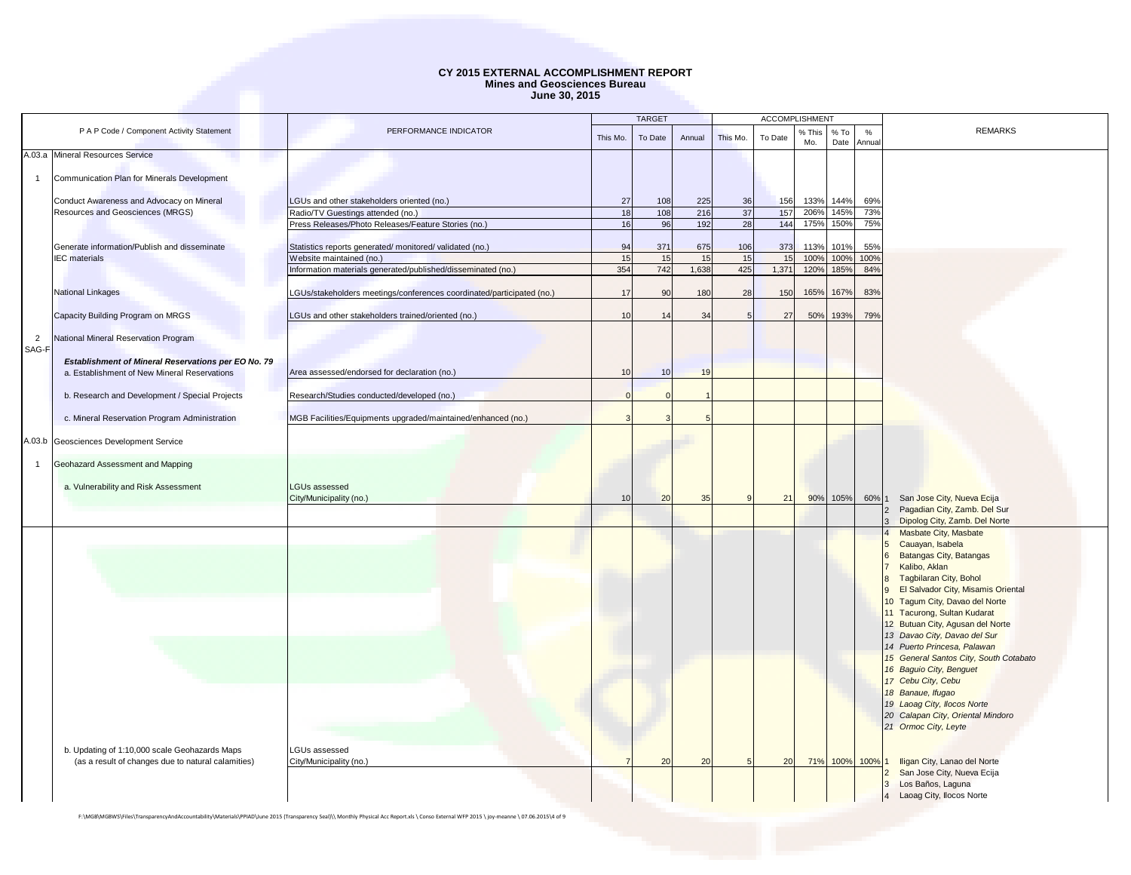|                |                                                     |                                                                       |          | <b>TARGET</b> |        |          | <b>ACCOMPLISHMENT</b> |               |                |             |                                                                       |
|----------------|-----------------------------------------------------|-----------------------------------------------------------------------|----------|---------------|--------|----------|-----------------------|---------------|----------------|-------------|-----------------------------------------------------------------------|
|                | P A P Code / Component Activity Statement           | PERFORMANCE INDICATOR                                                 | This Mo. | To Date       | Annual | This Mo. | To Date               | % This<br>Mo. | $%$ To<br>Date | %<br>Annual | <b>REMARKS</b>                                                        |
|                | A.03.a Mineral Resources Service                    |                                                                       |          |               |        |          |                       |               |                |             |                                                                       |
|                |                                                     |                                                                       |          |               |        |          |                       |               |                |             |                                                                       |
|                | Communication Plan for Minerals Development         |                                                                       |          |               |        |          |                       |               |                |             |                                                                       |
|                |                                                     |                                                                       |          |               |        |          |                       |               |                |             |                                                                       |
|                | Conduct Awareness and Advocacy on Mineral           | LGUs and other stakeholders oriented (no.)                            | 27       | 108           | 225    | 36       | 156                   | 133%          | 144%           | 69%         |                                                                       |
|                | Resources and Geosciences (MRGS)                    | Radio/TV Guestings attended (no.)                                     | 18       | 108           | 216    | 37       | 157                   | 206%          | 145%           | 73%         |                                                                       |
|                |                                                     | Press Releases/Photo Releases/Feature Stories (no.)                   | 16       | 96            | 192    | 28       | 144                   | 175%          | 150%           | 75%         |                                                                       |
|                | Generate information/Publish and disseminate        | Statistics reports generated/monitored/validated (no.)                | 94       | 371           | 675    | 106      | 373                   | 113%          | 101%           | 55%         |                                                                       |
|                | <b>IEC</b> materials                                | Website maintained (no.)                                              | 15       | 15            | 15     | 15       | 15                    | 100%          | 100%           | 100%        |                                                                       |
|                |                                                     | Information materials generated/published/disseminated (no.)          | 354      | 742           | 1,638  | 425      | 1,371                 | 120%          | 185%           | 84%         |                                                                       |
|                |                                                     |                                                                       |          |               |        |          |                       |               |                |             |                                                                       |
|                | <b>National Linkages</b>                            | LGUs/stakeholders meetings/conferences coordinated/participated (no.) | 17       | 90            | 180    | 28       | 150                   | 165%          | 167%           | 83%         |                                                                       |
|                |                                                     |                                                                       |          |               |        |          |                       |               |                |             |                                                                       |
|                | Capacity Building Program on MRGS                   | LGUs and other stakeholders trained/oriented (no.)                    | 10       | 14            | 34     |          | 27                    | 50%           | 193%           | 79%         |                                                                       |
|                |                                                     |                                                                       |          |               |        |          |                       |               |                |             |                                                                       |
| $\overline{2}$ | National Mineral Reservation Program                |                                                                       |          |               |        |          |                       |               |                |             |                                                                       |
| SAG-F          | Establishment of Mineral Reservations per EO No. 79 |                                                                       |          |               |        |          |                       |               |                |             |                                                                       |
|                | a. Establishment of New Mineral Reservations        | Area assessed/endorsed for declaration (no.)                          | 10       | 10            | 19     |          |                       |               |                |             |                                                                       |
|                |                                                     |                                                                       |          |               |        |          |                       |               |                |             |                                                                       |
|                | b. Research and Development / Special Projects      | Research/Studies conducted/developed (no.)                            |          |               |        |          |                       |               |                |             |                                                                       |
|                |                                                     |                                                                       |          |               |        |          |                       |               |                |             |                                                                       |
|                | c. Mineral Reservation Program Administration       | MGB Facilities/Equipments upgraded/maintained/enhanced (no.)          |          |               |        |          |                       |               |                |             |                                                                       |
|                |                                                     |                                                                       |          |               |        |          |                       |               |                |             |                                                                       |
| A.03.b         | Geosciences Development Service                     |                                                                       |          |               |        |          |                       |               |                |             |                                                                       |
| $\overline{1}$ | Geohazard Assessment and Mapping                    |                                                                       |          |               |        |          |                       |               |                |             |                                                                       |
|                |                                                     |                                                                       |          |               |        |          |                       |               |                |             |                                                                       |
|                | a. Vulnerability and Risk Assessment                | <b>LGUs assessed</b>                                                  |          |               |        |          |                       |               |                |             |                                                                       |
|                |                                                     | City/Municipality (no.)                                               | 10       | 20            | 35     |          | 21                    | 90%           | 105%           | 60% 1       | San Jose City, Nueva Ecija                                            |
|                |                                                     |                                                                       |          |               |        |          |                       |               |                |             | Pagadian City, Zamb. Del Sur                                          |
|                |                                                     |                                                                       |          |               |        |          |                       |               |                |             | Dipolog City, Zamb. Del Norte<br>Masbate City, Masbate                |
|                |                                                     |                                                                       |          |               |        |          |                       |               |                |             | Cauayan, Isabela                                                      |
|                |                                                     |                                                                       |          |               |        |          |                       |               |                |             | Batangas City, Batangas<br>ี                                          |
|                |                                                     |                                                                       |          |               |        |          |                       |               |                |             | Kalibo, Aklan                                                         |
|                |                                                     |                                                                       |          |               |        |          |                       |               |                |             | <b>Tagbilaran City, Bohol</b>                                         |
|                |                                                     |                                                                       |          |               |        |          |                       |               |                |             | El Salvador City, Misamis Oriental                                    |
|                |                                                     |                                                                       |          |               |        |          |                       |               |                |             | 10 Tagum City, Davao del Norte                                        |
|                |                                                     |                                                                       |          |               |        |          |                       |               |                |             | 11 Tacurong, Sultan Kudarat                                           |
|                |                                                     |                                                                       |          |               |        |          |                       |               |                |             | 12 Butuan City, Agusan del Norte                                      |
|                |                                                     |                                                                       |          |               |        |          |                       |               |                |             | 13 Davao City, Davao del Sur                                          |
|                |                                                     |                                                                       |          |               |        |          |                       |               |                |             | 14 Puerto Princesa, Palawan<br>15 General Santos City, South Cotabato |
|                |                                                     |                                                                       |          |               |        |          |                       |               |                |             | 16 Baguio City, Benguet                                               |
|                |                                                     |                                                                       |          |               |        |          |                       |               |                |             | 17 Cebu City, Cebu                                                    |
|                |                                                     |                                                                       |          |               |        |          |                       |               |                |             | 18 Banaue, Ifugao                                                     |
|                |                                                     |                                                                       |          |               |        |          |                       |               |                |             | 19 Laoag City, Ilocos Norte                                           |
|                |                                                     |                                                                       |          |               |        |          |                       |               |                |             | 20 Calapan City, Oriental Mindoro                                     |
|                |                                                     |                                                                       |          |               |        |          |                       |               |                |             | 21 Ormoc City, Leyte                                                  |
|                |                                                     |                                                                       |          |               |        |          |                       |               |                |             |                                                                       |
|                | b. Updating of 1:10,000 scale Geohazards Maps       | LGUs assessed                                                         |          |               |        |          |                       |               |                |             |                                                                       |
|                | (as a result of changes due to natural calamities)  | City/Municipality (no.)                                               |          | 20            | 20     |          | 20                    | 71%           |                | 100% 100%   | Iligan City, Lanao del Norte                                          |
|                |                                                     |                                                                       |          |               |        |          |                       |               |                |             | San Jose City, Nueva Ecija<br>Los Baños, Laguna                       |
|                |                                                     |                                                                       |          |               |        |          |                       |               |                |             | Laoag City, Ilocos Norte                                              |
|                |                                                     |                                                                       |          |               |        |          |                       |               |                |             |                                                                       |

F:\MGB\MGBWS\Files\TransparencyAndAccountability\Materials\PPIAD\June 2015 (Transparency Seal)\\ Monthly Physical Acc Report.xls \ Conso External WFP 2015 \ joy-meanne \ 07.06.2015\4 of 9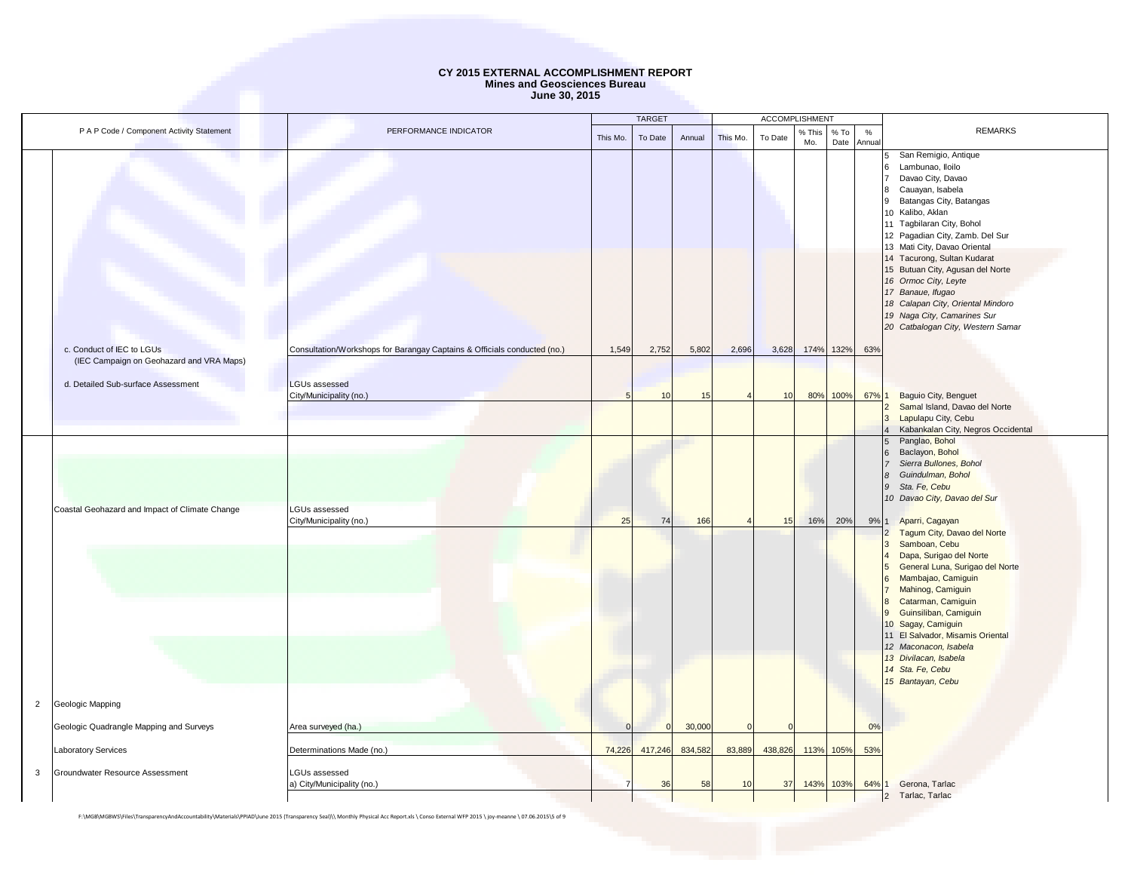|                                                                        |                                           |                                                                          |          | <b>TARGET</b> |               |              | ACCOMPLISHMENT |               |                        |             |                                                                                                                                                                                                                                                                                                                                                                                                                                                                               |  |
|------------------------------------------------------------------------|-------------------------------------------|--------------------------------------------------------------------------|----------|---------------|---------------|--------------|----------------|---------------|------------------------|-------------|-------------------------------------------------------------------------------------------------------------------------------------------------------------------------------------------------------------------------------------------------------------------------------------------------------------------------------------------------------------------------------------------------------------------------------------------------------------------------------|--|
|                                                                        | P A P Code / Component Activity Statement | PERFORMANCE INDICATOR                                                    | This Mo. | To Date       | Annual        | This Mo.     | To Date        | % This<br>Mo. | $%$ To<br>Date         | %<br>Annual | <b>REMARKS</b>                                                                                                                                                                                                                                                                                                                                                                                                                                                                |  |
|                                                                        |                                           |                                                                          |          |               |               |              |                |               |                        |             | San Remigio, Antique<br>5<br>Lambunao, Iloilo<br>6<br>Davao City, Davao<br>Cauayan, Isabela<br>8<br>Batangas City, Batangas<br>9<br>10 Kalibo, Aklan<br>11 Tagbilaran City, Bohol<br>12 Pagadian City, Zamb. Del Sur<br>13 Mati City, Davao Oriental<br>14 Tacurong, Sultan Kudarat<br>15 Butuan City, Agusan del Norte<br>16 Ormoc City, Leyte<br>17 Banaue, Ifuqao<br>18 Calapan City, Oriental Mindoro<br>19 Naga City, Camarines Sur<br>20 Catbalogan City, Western Samar |  |
| c. Conduct of IEC to LGUs                                              | (IEC Campaign on Geohazard and VRA Maps)  | Consultation/Workshops for Barangay Captains & Officials conducted (no.) | 1,549    | 2,752         | 5,802         | 2,696        | 3,628          |               | 174% 132%              | 63%         |                                                                                                                                                                                                                                                                                                                                                                                                                                                                               |  |
| d. Detailed Sub-surface Assessment                                     |                                           | <b>LGUs assessed</b><br>City/Municipality (no.)                          |          | 10            | 15            |              | 10             |               | 80% 100%               | 67% 1       | Baguio City, Benguet<br>Samal Island, Davao del Norte<br>Lapulapu City, Cebu<br>3<br>Kabankalan City, Negros Occidental<br>Panglao, Bohol                                                                                                                                                                                                                                                                                                                                     |  |
| Coastal Geohazard and Impact of Climate Change                         |                                           | LGUs assessed<br>City/Municipality (no.)                                 | 25       | 74            | 166           |              | 15             | 16%           | 20%                    | 9%          | Baclayon, Bohol<br><b>6</b><br>Sierra Bullones, Bohol<br>Guindulman, Bohol<br>$\overline{\mathcal{B}}$<br>$\overline{g}$<br>Sta. Fe, Cebu<br>10 Davao City, Davao del Sur<br>Aparri, Cagayan<br>Tagum City, Davao del Norte<br>$\overline{2}$<br>Samboan, Cebu<br>$\overline{3}$                                                                                                                                                                                              |  |
|                                                                        |                                           |                                                                          |          |               |               |              |                |               |                        |             | Dapa, Surigao del Norte<br>General Luna, Surigao del Norte<br>5<br>Mambajao, Camiguin<br>6<br>Mahinog, Camiguin<br>Catarman, Camiguin<br>$\overline{8}$<br>Guinsiliban, Camiguin<br>$\overline{9}$<br>10 Sagay, Camiguin<br>11 El Salvador, Misamis Oriental<br>12 Maconacon, Isabela<br>13 Divilacan, Isabela<br>14 Sta. Fe, Cebu<br>15 Bantayan, Cebu                                                                                                                       |  |
| Geologic Mapping<br>$\overline{2}$                                     |                                           |                                                                          |          |               |               |              |                |               |                        |             |                                                                                                                                                                                                                                                                                                                                                                                                                                                                               |  |
| Geologic Quadrangle Mapping and Surveys                                |                                           | Area surveyed (ha.)                                                      |          |               | 30,000        |              |                |               |                        | 0%          |                                                                                                                                                                                                                                                                                                                                                                                                                                                                               |  |
| Laboratory Services<br>$\mathbf{3}$<br>Groundwater Resource Assessment |                                           | Determinations Made (no.)<br>LGUs assessed<br>a) City/Municipality (no.) | 74,226   | 417,246<br>36 | 834,582<br>58 | 83,889<br>10 | 438,826<br>37  |               | 113% 105%<br>143% 103% | 53%<br>64%  | Gerona, Tarlac<br>Tarlac, Tarlac<br>$\overline{2}$                                                                                                                                                                                                                                                                                                                                                                                                                            |  |

F:\MGB\MGBWS\Files\TransparencyAndAccountability\Materials\PPIAD\June 2015 (Transparency Seal)\\ Monthly Physical Acc Report.xls \ Conso External WFP 2015 \ joy-meanne \ 07.06.2015\5 of 9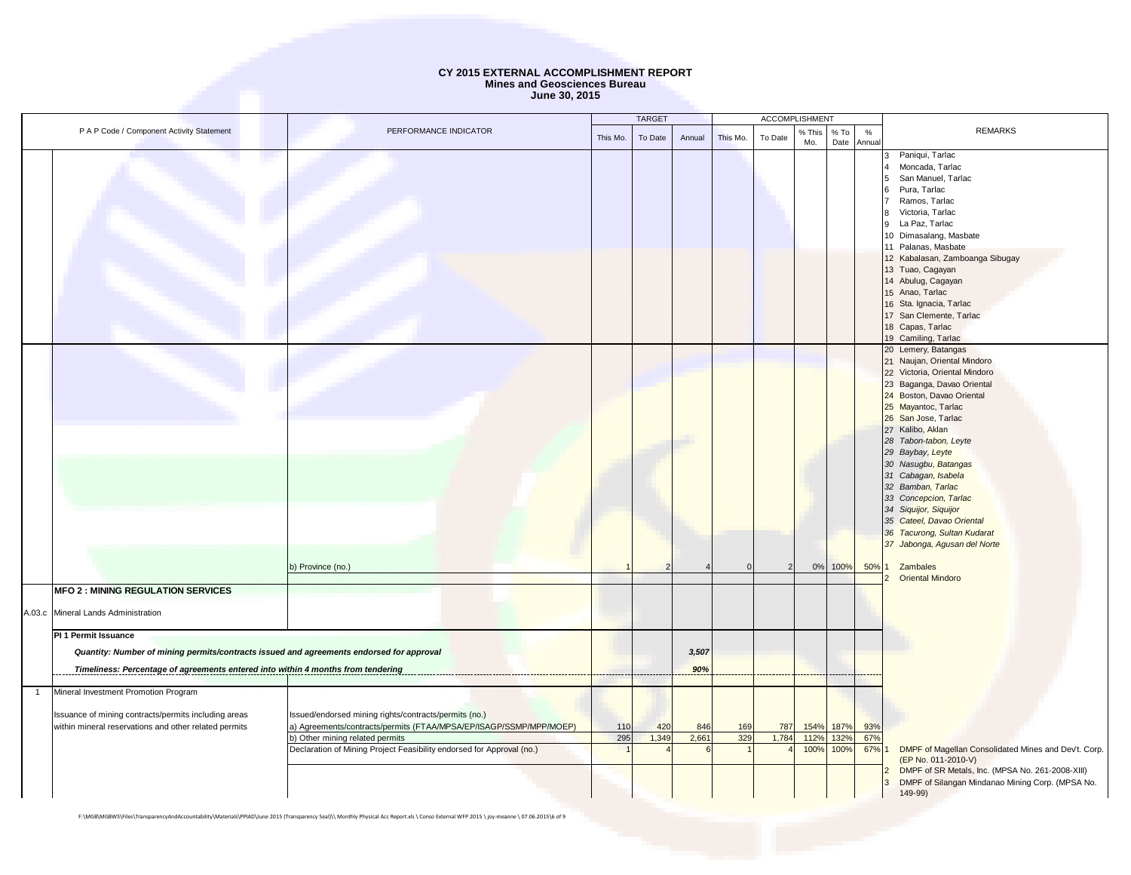|                |                                                                                                                                                                                                      |                                                                                                                                                                                                                                         |            | <b>TARGET</b> |              |            | <b>ACCOMPLISHMENT</b> |                      |                      |                     |                                                                                                                                                                                                                                                                                                                                                                                                                                                                                             |
|----------------|------------------------------------------------------------------------------------------------------------------------------------------------------------------------------------------------------|-----------------------------------------------------------------------------------------------------------------------------------------------------------------------------------------------------------------------------------------|------------|---------------|--------------|------------|-----------------------|----------------------|----------------------|---------------------|---------------------------------------------------------------------------------------------------------------------------------------------------------------------------------------------------------------------------------------------------------------------------------------------------------------------------------------------------------------------------------------------------------------------------------------------------------------------------------------------|
|                | P A P Code / Component Activity Statement                                                                                                                                                            | PERFORMANCE INDICATOR                                                                                                                                                                                                                   | This Mo.   | To Date       | Annual       | This Mo.   | To Date               | % This<br>Mo.        | $%$ To               | $\%$<br>Date Annual | <b>REMARKS</b>                                                                                                                                                                                                                                                                                                                                                                                                                                                                              |
|                |                                                                                                                                                                                                      |                                                                                                                                                                                                                                         |            |               |              |            |                       |                      |                      |                     | Paniqui, Tarlac<br>Moncada, Tarlac<br>San Manuel, Tarlac<br>Pura, Tarlac<br>6<br>Ramos, Tarlac<br>Victoria, Tarlac<br>R<br>La Paz, Tarlac<br>9<br>10 Dimasalang, Masbate<br>11 Palanas, Masbate<br>12 Kabalasan, Zamboanga Sibugay<br>13 Tuao, Cagayan<br>14 Abulug, Cagayan<br>15 Anao, Tarlac<br>16 Sta. Ignacia, Tarlac                                                                                                                                                                  |
|                |                                                                                                                                                                                                      |                                                                                                                                                                                                                                         |            |               |              |            |                       |                      |                      |                     | 17 San Clemente, Tarlac<br>18 Capas, Tarlac<br>19 Camiling, Tarlac                                                                                                                                                                                                                                                                                                                                                                                                                          |
|                |                                                                                                                                                                                                      | b) Province (no.)                                                                                                                                                                                                                       |            |               |              |            |                       |                      | 0% 100%              | 50%                 | 20 Lemery, Batangas<br>21 Naujan, Oriental Mindoro<br>22 Victoria, Oriental Mindoro<br>23 Baganga, Davao Oriental<br>24 Boston, Davao Oriental<br>25 Mayantoc, Tarlac<br>26 San Jose, Tarlac<br>27 Kalibo, Aklan<br>28 Tabon-tabon, Leyte<br>29 Baybay, Leyte<br>30 Nasugbu, Batangas<br>31 Cabagan, Isabela<br>32 Bamban, Tarlac<br>33 Concepcion, Tarlac<br>34 Siquijor, Siquijor<br>35 Cateel, Davao Oriental<br>36 Tacurong, Sultan Kudarat<br>37 Jabonga, Agusan del Norte<br>Zambales |
|                | <b>MFO 2 : MINING REGULATION SERVICES</b>                                                                                                                                                            |                                                                                                                                                                                                                                         |            |               |              |            |                       |                      |                      |                     | <b>Oriental Mindoro</b>                                                                                                                                                                                                                                                                                                                                                                                                                                                                     |
|                | A.03.c Mineral Lands Administration                                                                                                                                                                  |                                                                                                                                                                                                                                         |            |               |              |            |                       |                      |                      |                     |                                                                                                                                                                                                                                                                                                                                                                                                                                                                                             |
|                | PI 1 Permit Issuance<br>Quantity: Number of mining permits/contracts issued and agreements endorsed for approval<br>Timeliness: Percentage of agreements entered into within 4 months from tendering |                                                                                                                                                                                                                                         |            |               | 3,507<br>90% |            |                       |                      |                      |                     |                                                                                                                                                                                                                                                                                                                                                                                                                                                                                             |
| $\overline{1}$ | Mineral Investment Promotion Program                                                                                                                                                                 |                                                                                                                                                                                                                                         |            |               |              |            |                       |                      |                      |                     |                                                                                                                                                                                                                                                                                                                                                                                                                                                                                             |
|                | Issuance of mining contracts/permits including areas<br>within mineral reservations and other related permits                                                                                        | Issued/endorsed mining rights/contracts/permits (no.)<br>a) Agreements/contracts/permits (FTAA/MPSA/EP/ISAGP/SSMP/MPP/MOEP)<br>b) Other mining related permits<br>Declaration of Mining Project Feasibility endorsed for Approval (no.) | 110<br>295 | 420<br>1,349  | 846<br>2,661 | 169<br>329 | 787<br>1,784          | 154%<br>112%<br>100% | 187%<br>132%<br>100% | 93%<br>67%<br>67%   | DMPF of Magellan Consolidated Mines and Dev't. Corp.                                                                                                                                                                                                                                                                                                                                                                                                                                        |
|                |                                                                                                                                                                                                      |                                                                                                                                                                                                                                         |            |               |              |            |                       |                      |                      |                     | (EP No. 011-2010-V)<br>DMPF of SR Metals, Inc. (MPSA No. 261-2008-XIII)<br>DMPF of Silangan Mindanao Mining Corp. (MPSA No.<br>149-99)                                                                                                                                                                                                                                                                                                                                                      |

F:\MGB\MGBWS\Files\TransparencyAndAccountability\Materials\PPIAD\June 2015 (Transparency Seal)\\ Monthly Physical Acc Report.xls \ Conso External WFP 2015 \ joy-meanne \ 07.06.2015\6 of 9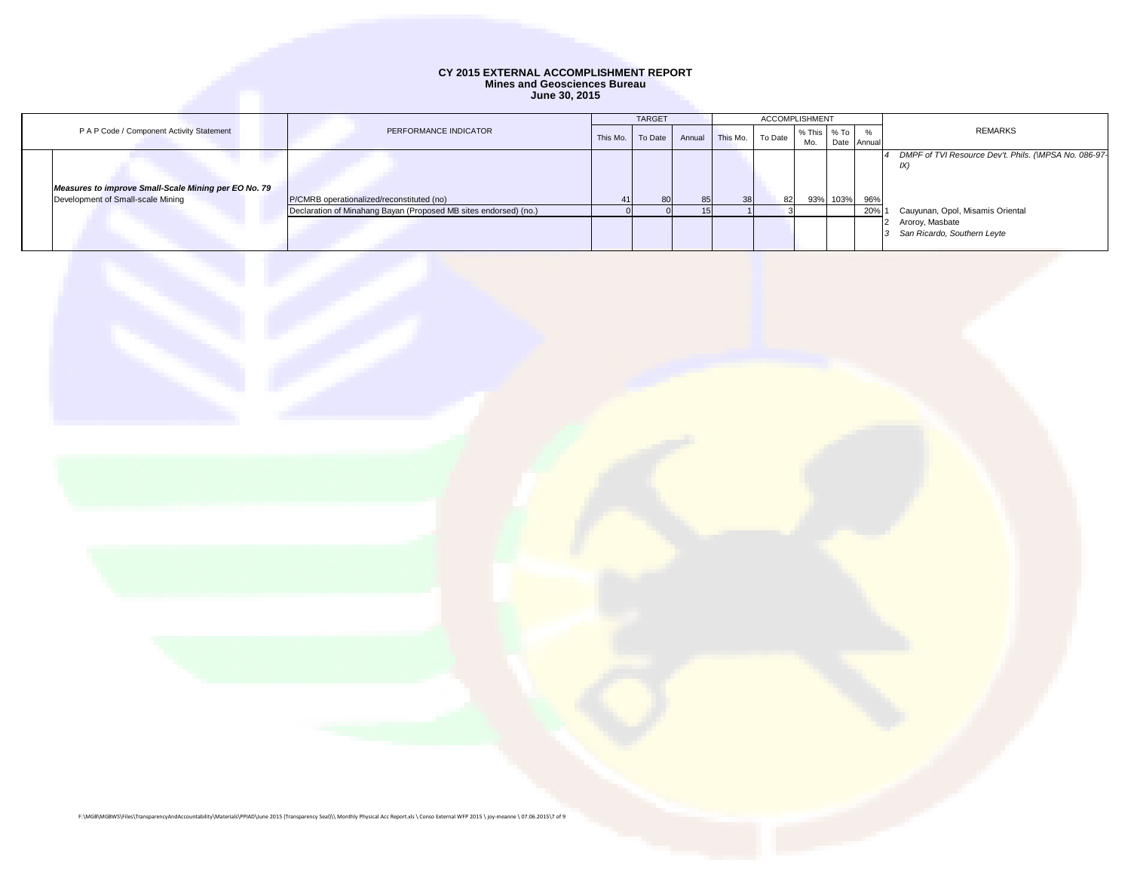|                                                      |                                                                  | <b>TARGET</b> |         | <b>ACCOMPLISHMENT</b> |          |         |             |          |             |                                                      |
|------------------------------------------------------|------------------------------------------------------------------|---------------|---------|-----------------------|----------|---------|-------------|----------|-------------|------------------------------------------------------|
| P A P Code / Component Activity Statement            | PERFORMANCE INDICATOR                                            | This Mo.      | To Date |                       | This Mo. | To Date | % This % To |          | $\%$        | <b>REMARKS</b>                                       |
|                                                      |                                                                  |               |         | Annual                |          |         | Mo.         |          | Date Annual |                                                      |
|                                                      |                                                                  |               |         |                       |          |         |             |          |             | DMPF of TVI Resource Dev't. Phils. (WPSA No. 086-97- |
|                                                      |                                                                  |               |         |                       |          |         |             |          |             | IX.                                                  |
|                                                      |                                                                  |               |         |                       |          |         |             |          |             |                                                      |
| Measures to improve Small-Scale Mining per EO No. 79 |                                                                  |               |         |                       |          |         |             |          |             |                                                      |
| Development of Small-scale Mining                    | P/CMRB operationalized/reconstituted (no)                        |               | 80      | 85                    | 38       | 82      |             | 93% 103% | 96%         |                                                      |
|                                                      | Declaration of Minahang Bayan (Proposed MB sites endorsed) (no.) |               |         |                       |          |         |             |          | 20%         | Cauyunan, Opol, Misamis Oriental                     |
|                                                      |                                                                  |               |         |                       |          |         |             |          |             | Aroroy, Masbate                                      |
|                                                      |                                                                  |               |         |                       |          |         |             |          |             | San Ricardo, Southern Leyte                          |
|                                                      |                                                                  |               |         |                       |          |         |             |          |             |                                                      |

F:\MGB\MGBWS\Files\TransparencyAndAccountability\Materials\PPIAD\June 2015 (Transparency Seal)\\ Monthly Physical Acc Report.xls \ Conso External WFP 2015 \ joy-meanne \ 07.06.2015\7 of 9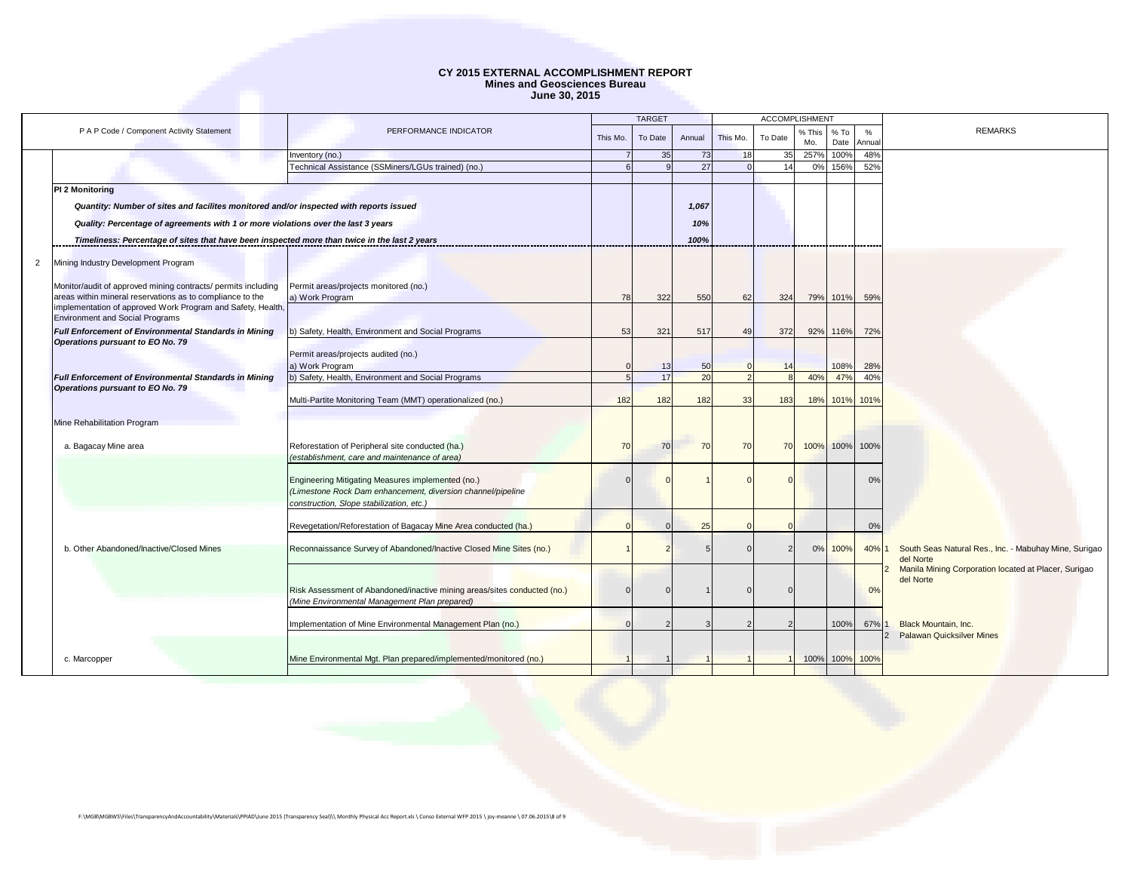|                        |                                                                                                                          |                                                                          |          | <b>TARGET</b> |        |          | <b>ACCOMPLISHMENT</b> |               |                |                |                                                                    |
|------------------------|--------------------------------------------------------------------------------------------------------------------------|--------------------------------------------------------------------------|----------|---------------|--------|----------|-----------------------|---------------|----------------|----------------|--------------------------------------------------------------------|
|                        | P A P Code / Component Activity Statement                                                                                | PERFORMANCE INDICATOR                                                    | This Mo. | To Date       | Annual | This Mo. | To Date               | % This<br>Mo. | % To<br>Date   | %<br>Annua     | <b>REMARKS</b>                                                     |
|                        |                                                                                                                          | Inventory (no.)                                                          |          | 35            | 73     |          | 35                    | 257%          | 100%           | 48%            |                                                                    |
|                        |                                                                                                                          | Technical Assistance (SSMiners/LGUs trained) (no.)                       |          | $\alpha$      | 27     |          | 14                    | 0%            | 156%           | 52%            |                                                                    |
| <b>PI 2 Monitoring</b> |                                                                                                                          |                                                                          |          |               |        |          |                       |               |                |                |                                                                    |
|                        | Quantity: Number of sites and facilites monitored and/or inspected with reports issued                                   |                                                                          |          |               | 1,067  |          |                       |               |                |                |                                                                    |
|                        |                                                                                                                          |                                                                          |          |               |        |          |                       |               |                |                |                                                                    |
|                        | Quality: Percentage of agreements with 1 or more violations over the last 3 years                                        |                                                                          |          |               | 10%    |          |                       |               |                |                |                                                                    |
|                        | Timeliness: Percentage of sites that have been inspected more than twice in the last 2 years                             |                                                                          |          |               | 100%   |          |                       |               |                |                |                                                                    |
| $\overline{2}$         | Mining Industry Development Program                                                                                      |                                                                          |          |               |        |          |                       |               |                |                |                                                                    |
|                        | Monitor/audit of approved mining contracts/ permits including                                                            | Permit areas/projects monitored (no.)                                    |          |               |        |          |                       |               |                |                |                                                                    |
|                        | areas within mineral reservations as to compliance to the<br>implementation of approved Work Program and Safety, Health, | a) Work Program                                                          | 78       | 322           | 550    | 62       | 324                   |               | 79% 101%       | 59%            |                                                                    |
|                        | <b>Environment and Social Programs</b>                                                                                   |                                                                          |          |               |        |          |                       |               |                |                |                                                                    |
|                        | <b>Full Enforcement of Environmental Standards in Mining</b>                                                             | b) Safety, Health, Environment and Social Programs                       | 53       | 321           | 517    | 49       | 372                   |               | 92% 116%       | 72%            |                                                                    |
|                        | Operations pursuant to EO No. 79                                                                                         |                                                                          |          |               |        |          |                       |               |                |                |                                                                    |
|                        |                                                                                                                          | Permit areas/projects audited (no.)<br>a) Work Program                   |          | 13            | 50     |          |                       |               | 108%           | 28%            |                                                                    |
|                        | <b>Full Enforcement of Environmental Standards in Mining</b>                                                             | b) Safety, Health, Environment and Social Programs                       |          | 17            | 20     |          |                       | 40%           | 47%            | 40%            |                                                                    |
|                        | Operations pursuant to EO No. 79                                                                                         |                                                                          |          |               |        |          |                       |               |                |                |                                                                    |
|                        |                                                                                                                          | Multi-Partite Monitoring Team (MMT) operationalized (no.)                | 182      | 182           | 182    | 33       | 183                   |               | 18% 101% 101%  |                |                                                                    |
|                        | Mine Rehabilitation Program                                                                                              |                                                                          |          |               |        |          |                       |               |                |                |                                                                    |
|                        |                                                                                                                          |                                                                          |          |               |        |          |                       |               |                |                |                                                                    |
|                        | a. Bagacay Mine area                                                                                                     | Reforestation of Peripheral site conducted (ha.)                         | 70       | 70            | 70     | 70       | 70                    |               | 100% 100% 100% |                |                                                                    |
|                        |                                                                                                                          | (establishment, care and maintenance of area)                            |          |               |        |          |                       |               |                |                |                                                                    |
|                        |                                                                                                                          | Engineering Mitigating Measures implemented (no.)                        |          |               |        |          |                       |               |                | 0 <sup>9</sup> |                                                                    |
|                        |                                                                                                                          | (Limestone Rock Dam enhancement, diversion channel/pipeline              |          |               |        |          |                       |               |                |                |                                                                    |
|                        |                                                                                                                          | construction, Slope stabilization, etc.)                                 |          |               |        |          |                       |               |                |                |                                                                    |
|                        |                                                                                                                          | Revegetation/Reforestation of Bagacay Mine Area conducted (ha.)          |          |               | 25     |          |                       |               |                | 0%             |                                                                    |
|                        |                                                                                                                          |                                                                          |          |               |        |          |                       |               |                |                |                                                                    |
|                        | b. Other Abandoned/Inactive/Closed Mines                                                                                 | Reconnaissance Survey of Abandoned/Inactive Closed Mine Sites (no.)      |          |               |        |          |                       | 0%            | 100%           | 40%            | South Seas Natural Res., Inc. - Mabuhay Mine, Surigao<br>del Norte |
|                        |                                                                                                                          |                                                                          |          |               |        |          |                       |               |                |                | Manila Mining Corporation located at Placer, Surigao               |
|                        |                                                                                                                          | Risk Assessment of Abandoned/inactive mining areas/sites conducted (no.) |          | $\Omega$      |        |          |                       |               |                | 0%             | del Norte                                                          |
|                        |                                                                                                                          | (Mine Environmental Management Plan prepared)                            |          |               |        |          |                       |               |                |                |                                                                    |
|                        |                                                                                                                          |                                                                          |          |               |        |          |                       |               |                |                |                                                                    |
|                        |                                                                                                                          | Implementation of Mine Environmental Management Plan (no.)               |          |               |        |          |                       |               | 100%           | 67%            | Black Mountain, Inc.<br>$\mathcal{P}$                              |
|                        |                                                                                                                          |                                                                          |          |               |        |          |                       |               |                |                | <b>Palawan Quicksilver Mines</b>                                   |
| c. Marcopper           |                                                                                                                          | Mine Environmental Mgt. Plan prepared/implemented/monitored (no.)        |          |               |        |          |                       |               | 100% 100% 100% |                |                                                                    |
|                        |                                                                                                                          |                                                                          |          |               |        |          |                       |               |                |                |                                                                    |